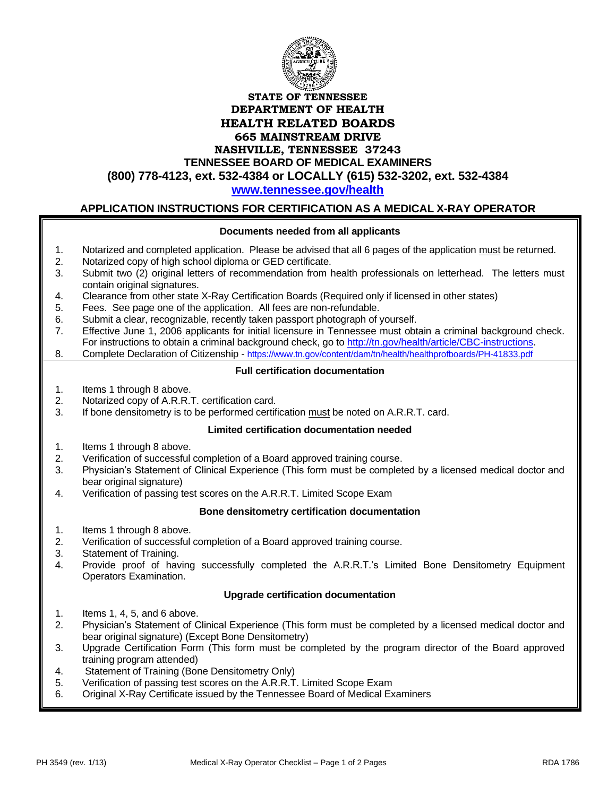

**TENNESSEE BOARD OF MEDICAL EXAMINERS**

**(800) 778-4123, ext. 532-4384 or LOCALLY (615) 532-3202, ext. 532-4384**

**[www.tennessee.gov/health](http://www.tennessee.gov/health)**

# **APPLICATION INSTRUCTIONS FOR CERTIFICATION AS A MEDICAL X-RAY OPERATOR**

#### **Documents needed from all applicants**

- 1. Notarized and completed application. Please be advised that all 6 pages of the application must be returned.
- 2. Notarized copy of high school diploma or GED certificate.
- 3. Submit two (2) original letters of recommendation from health professionals on letterhead. The letters must contain original signatures.
- 4. Clearance from other state X-Ray Certification Boards (Required only if licensed in other states)
- 5. Fees. See page one of the application. All fees are non-refundable.
- 6. Submit a clear, recognizable, recently taken passport photograph of yourself.
- 7. Effective June 1, 2006 applicants for initial licensure in Tennessee must obtain a criminal background check. For instructions to obtain a criminal background check, go to [http://tn.gov/health/article/CBC-instructions.](http://tn.gov/health/article/CBC-instructions)
- 8. Complete Declaration of Citizenship <https://www.tn.gov/content/dam/tn/health/healthprofboards/PH-41833.pdf>

#### **Full certification documentation**

- 1. Items 1 through 8 above.
- 2. Notarized copy of A.R.R.T. certification card.
- 3. If bone densitometry is to be performed certification must be noted on A.R.R.T. card.

#### **Limited certification documentation needed**

- 1. Items 1 through 8 above.
- 2. Verification of successful completion of a Board approved training course.
- 3. Physician's Statement of Clinical Experience (This form must be completed by a licensed medical doctor and bear original signature)
- 4. Verification of passing test scores on the A.R.R.T. Limited Scope Exam

#### **Bone densitometry certification documentation**

- 1. Items 1 through 8 above.
- 2. Verification of successful completion of a Board approved training course.
- 3. Statement of Training.
- 4. Provide proof of having successfully completed the A.R.R.T.'s Limited Bone Densitometry Equipment Operators Examination.

### **Upgrade certification documentation**

- 1. Items 1, 4, 5, and 6 above.
- 2. Physician's Statement of Clinical Experience (This form must be completed by a licensed medical doctor and bear original signature) (Except Bone Densitometry)
- 3. Upgrade Certification Form (This form must be completed by the program director of the Board approved training program attended)
- 4. Statement of Training (Bone Densitometry Only)
- 5. Verification of passing test scores on the A.R.R.T. Limited Scope Exam
- 6. Original X-Ray Certificate issued by the Tennessee Board of Medical Examiners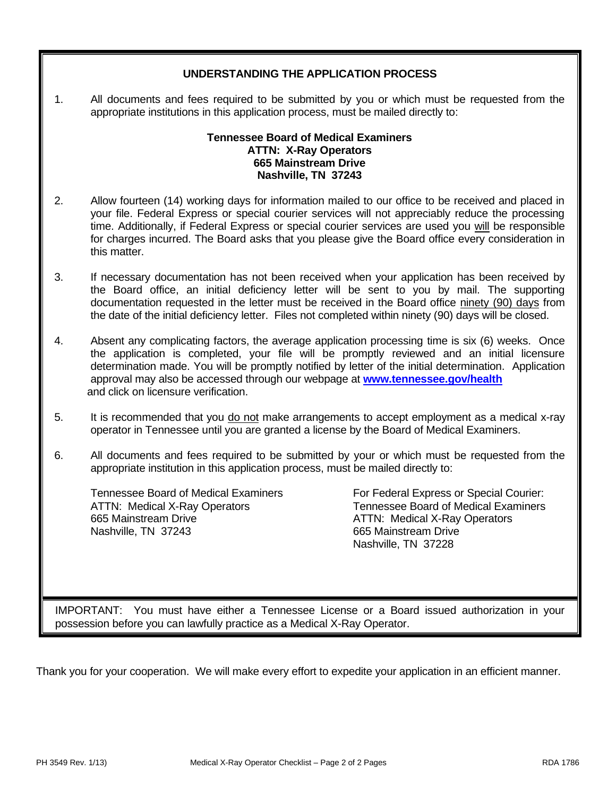### **UNDERSTANDING THE APPLICATION PROCESS**

1. All documents and fees required to be submitted by you or which must be requested from the appropriate institutions in this application process, must be mailed directly to:

### **Tennessee Board of Medical Examiners ATTN: X-Ray Operators 665 Mainstream Drive Nashville, TN 37243**

- 2. Allow fourteen (14) working days for information mailed to our office to be received and placed in your file. Federal Express or special courier services will not appreciably reduce the processing time. Additionally, if Federal Express or special courier services are used you will be responsible for charges incurred. The Board asks that you please give the Board office every consideration in this matter.
- 3. If necessary documentation has not been received when your application has been received by the Board office, an initial deficiency letter will be sent to you by mail. The supporting documentation requested in the letter must be received in the Board office ninety (90) days from the date of the initial deficiency letter. Files not completed within ninety (90) days will be closed.
- 4. Absent any complicating factors, the average application processing time is six (6) weeks. Once the application is completed, your file will be promptly reviewed and an initial licensure determination made. You will be promptly notified by letter of the initial determination. Application approval may also be accessed through our webpage at **[www.tennessee.gov/health](http://www.tennessee.gov/health)** and click on licensure verification.
- 5. It is recommended that you do not make arrangements to accept employment as a medical x-ray operator in Tennessee until you are granted a license by the Board of Medical Examiners.
- 6. All documents and fees required to be submitted by your or which must be requested from the appropriate institution in this application process, must be mailed directly to:

665 Mainstream Drive **ATTN: Medical X-Ray Operators** Nashville, TN 37243 665 Mainstream Drive

Tennessee Board of Medical Examiners For Federal Express or Special Courier: ATTN: Medical X-Ray Operators Tennessee Board of Medical Examiners Nashville, TN 37228

IMPORTANT: You must have either a Tennessee License or a Board issued authorization in your possession before you can lawfully practice as a Medical X-Ray Operator.

Thank you for your cooperation. We will make every effort to expedite your application in an efficient manner.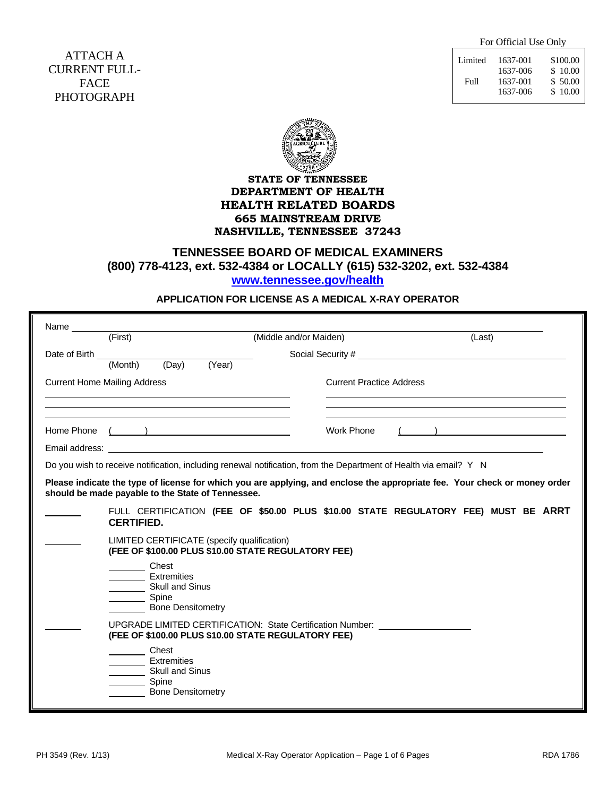For Official Use Only

ATTACH A CURRENT FULL-FACE PHOTOGRAPH

| Limited | 1637-001 | \$100.00 |
|---------|----------|----------|
|         | 1637-006 | \$10.00  |
| Full    | 1637-001 | \$50.00  |
|         | 1637-006 | \$10.00  |



# **STATE OF TENNESSEE DEPARTMENT OF HEALTH HEALTH RELATED BOARDS 665 MAINSTREAM DRIVE NASHVILLE, TENNESSEE 37243**

# **TENNESSEE BOARD OF MEDICAL EXAMINERS (800) 778-4123, ext. 532-4384 or LOCALLY (615) 532-3202, ext. 532-4384 [www.tennessee.gov/health](http://www.tennessee.gov/health)**

### **APPLICATION FOR LICENSE AS A MEDICAL X-RAY OPERATOR**

|                 | (First)                                                                                                                                                     | (Middle and/or Maiden)                                                                                                                  |                                 | (Last)                                                                                                                     |
|-----------------|-------------------------------------------------------------------------------------------------------------------------------------------------------------|-----------------------------------------------------------------------------------------------------------------------------------------|---------------------------------|----------------------------------------------------------------------------------------------------------------------------|
| Date of Birth _ | (Day)<br>(Month)                                                                                                                                            | (Year)                                                                                                                                  |                                 |                                                                                                                            |
|                 | <b>Current Home Mailing Address</b><br><u> 1989 - Johann John Stein, markin film yn y brenin y brenin y brenin y brenin y brenin y brenin y brenin y br</u> |                                                                                                                                         | <b>Current Practice Address</b> |                                                                                                                            |
|                 | Home Phone ( )                                                                                                                                              |                                                                                                                                         | Work Phone                      | $($ )                                                                                                                      |
|                 |                                                                                                                                                             | Do you wish to receive notification, including renewal notification, from the Department of Health via email? Y N                       |                                 |                                                                                                                            |
|                 | should be made payable to the State of Tennessee.                                                                                                           |                                                                                                                                         |                                 | Please indicate the type of license for which you are applying, and enclose the appropriate fee. Your check or money order |
|                 | <b>CERTIFIED.</b><br>LIMITED CERTIFICATE (specify qualification)                                                                                            | (FEE OF \$100.00 PLUS \$10.00 STATE REGULATORY FEE)                                                                                     |                                 | FULL CERTIFICATION (FEE OF \$50.00 PLUS \$10.00 STATE REGULATORY FEE) MUST BE ARRT                                         |
|                 | Chest<br><b>Extremities</b><br>Skull and Sinus<br>Spine<br><b>Bone Densitometry</b>                                                                         |                                                                                                                                         |                                 |                                                                                                                            |
|                 |                                                                                                                                                             | UPGRADE LIMITED CERTIFICATION: State Certification Number: _____________________<br>(FEE OF \$100.00 PLUS \$10.00 STATE REGULATORY FEE) |                                 |                                                                                                                            |
|                 | Chest<br>______ Extremities                                                                                                                                 |                                                                                                                                         |                                 |                                                                                                                            |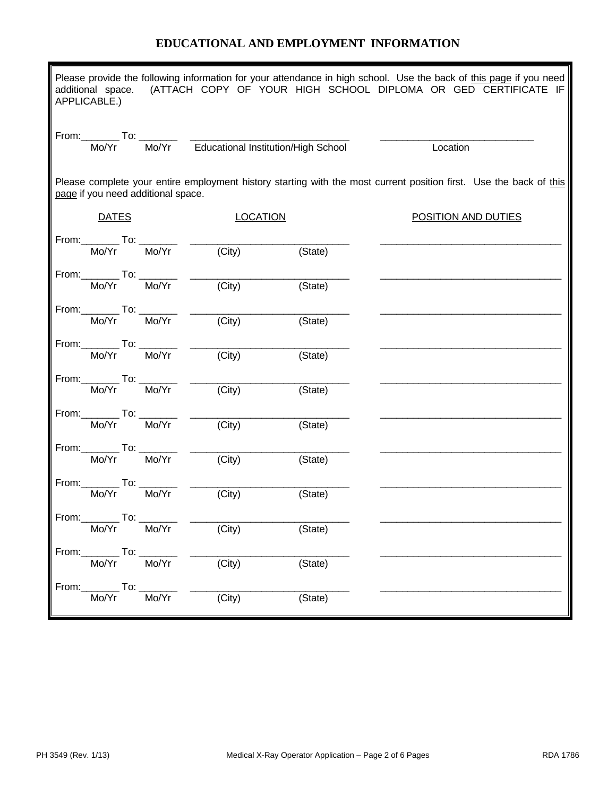# **EDUCATIONAL AND EMPLOYMENT INFORMATION**

| Please provide the following information for your attendance in high school. Use the back of this page if you need<br>additional space. (ATTACH COPY OF YOUR HIGH SCHOOL DIPLOMA OR GED CERTIFICATE IF<br>APPLICABLE.) |                                          |  |                                                             |                     |         |                                                                                                                    |
|------------------------------------------------------------------------------------------------------------------------------------------------------------------------------------------------------------------------|------------------------------------------|--|-------------------------------------------------------------|---------------------|---------|--------------------------------------------------------------------------------------------------------------------|
|                                                                                                                                                                                                                        |                                          |  |                                                             |                     |         | Location                                                                                                           |
|                                                                                                                                                                                                                        |                                          |  | page if you need additional space.                          |                     |         | Please complete your entire employment history starting with the most current position first. Use the back of this |
|                                                                                                                                                                                                                        | <b>DATES</b>                             |  |                                                             | <b>LOCATION</b>     |         | <b>POSITION AND DUTIES</b>                                                                                         |
|                                                                                                                                                                                                                        |                                          |  | From: $\frac{1}{\text{Mo/Yr}}$ To: $\frac{1}{\text{Mo/Yr}}$ | $\overline{(City)}$ | (State) |                                                                                                                    |
|                                                                                                                                                                                                                        |                                          |  | From:___________ To: ___________<br>Mo/Yr   Mo/Yr           | $\overline{(City)}$ | (State) |                                                                                                                    |
|                                                                                                                                                                                                                        |                                          |  | From: To: To: Mo/Yr                                         | $\overline{(City)}$ | (State) |                                                                                                                    |
|                                                                                                                                                                                                                        |                                          |  | From: $\frac{1}{\text{Mo/Yr}}$ To: $\frac{1}{\text{Mo/Yr}}$ | $\overline{(City)}$ | (State) |                                                                                                                    |
|                                                                                                                                                                                                                        |                                          |  | From: $\frac{1}{\text{Mo/Yr}}$ To: $\frac{1}{\text{Mo/Yr}}$ | $\overline{(City)}$ | (State) |                                                                                                                    |
|                                                                                                                                                                                                                        |                                          |  | From: To: To: Mo/Yr                                         | (City)              | (State) |                                                                                                                    |
|                                                                                                                                                                                                                        |                                          |  | From: To: To: Mo/Yr                                         | $\overline{(City)}$ | (State) |                                                                                                                    |
|                                                                                                                                                                                                                        |                                          |  |                                                             | (City)              | (State) |                                                                                                                    |
|                                                                                                                                                                                                                        | $From:$ To:<br>Mo/Yr                     |  | Mo/Yr                                                       | (City)              | (State) |                                                                                                                    |
|                                                                                                                                                                                                                        | From: _____________ To: _______<br>Mo/Yr |  | Mo/Yr                                                       | (City)              | (State) |                                                                                                                    |
|                                                                                                                                                                                                                        | From: ____________ To: _____<br>Mo/Yr    |  | Mo/Yr                                                       | (City)              | (State) |                                                                                                                    |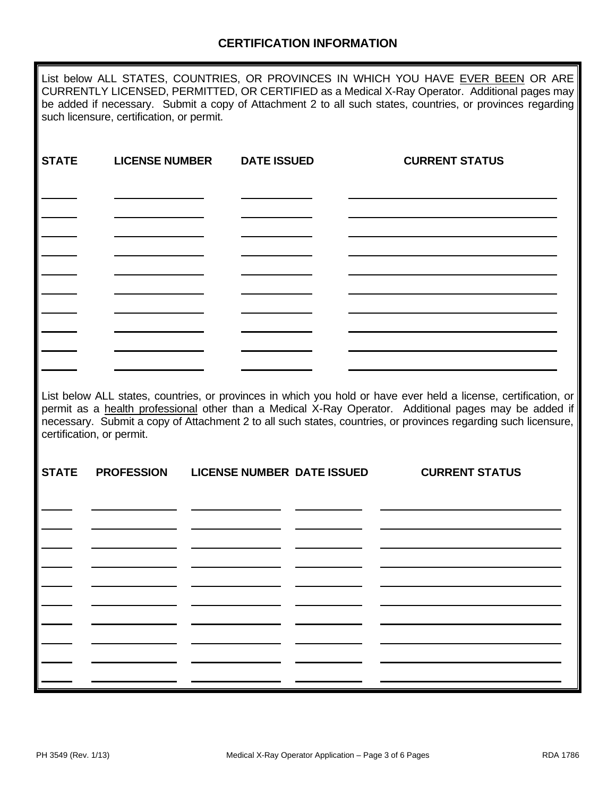# **CERTIFICATION INFORMATION**

List below ALL STATES, COUNTRIES, OR PROVINCES IN WHICH YOU HAVE EVER BEEN OR ARE CURRENTLY LICENSED, PERMITTED, OR CERTIFIED as a Medical X-Ray Operator. Additional pages may be added if necessary. Submit a copy of Attachment 2 to all such states, countries, or provinces regarding such licensure, certification, or permit.

| <b>STATE</b> | <b>LICENSE NUMBER</b>     | <b>DATE ISSUED</b> |                                   | <b>CURRENT STATUS</b>                                                                                                                                                                                                                                                                                                                      |  |
|--------------|---------------------------|--------------------|-----------------------------------|--------------------------------------------------------------------------------------------------------------------------------------------------------------------------------------------------------------------------------------------------------------------------------------------------------------------------------------------|--|
|              |                           |                    |                                   |                                                                                                                                                                                                                                                                                                                                            |  |
|              |                           |                    |                                   |                                                                                                                                                                                                                                                                                                                                            |  |
|              |                           |                    |                                   |                                                                                                                                                                                                                                                                                                                                            |  |
|              |                           |                    |                                   |                                                                                                                                                                                                                                                                                                                                            |  |
|              |                           |                    |                                   |                                                                                                                                                                                                                                                                                                                                            |  |
|              |                           |                    |                                   |                                                                                                                                                                                                                                                                                                                                            |  |
|              | certification, or permit. |                    |                                   | List below ALL states, countries, or provinces in which you hold or have ever held a license, certification, or<br>permit as a health professional other than a Medical X-Ray Operator. Additional pages may be added if<br>necessary. Submit a copy of Attachment 2 to all such states, countries, or provinces regarding such licensure, |  |
| <b>STATE</b> | <b>PROFESSION</b>         |                    | <b>LICENSE NUMBER DATE ISSUED</b> | <b>CURRENT STATUS</b>                                                                                                                                                                                                                                                                                                                      |  |
|              |                           |                    |                                   |                                                                                                                                                                                                                                                                                                                                            |  |
|              |                           |                    |                                   |                                                                                                                                                                                                                                                                                                                                            |  |
|              |                           |                    |                                   |                                                                                                                                                                                                                                                                                                                                            |  |
|              |                           |                    |                                   |                                                                                                                                                                                                                                                                                                                                            |  |
|              |                           |                    |                                   |                                                                                                                                                                                                                                                                                                                                            |  |
|              |                           |                    |                                   |                                                                                                                                                                                                                                                                                                                                            |  |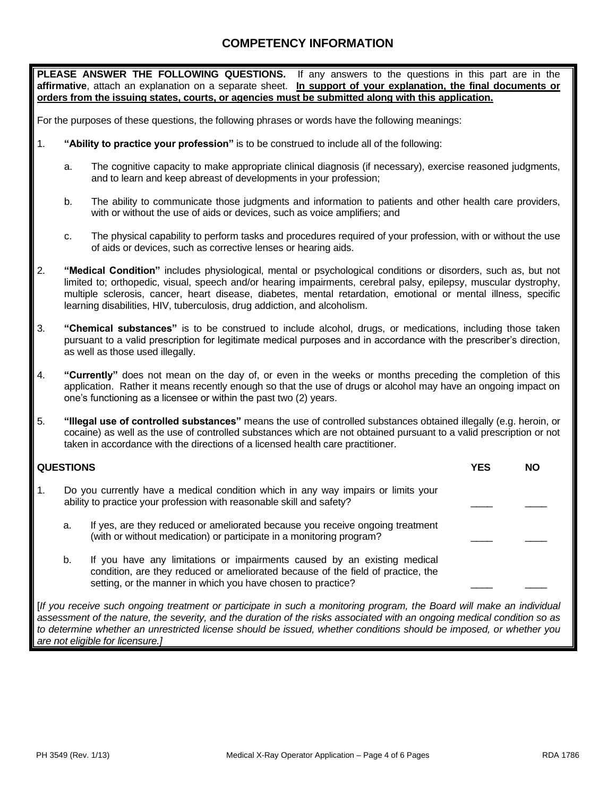# **COMPETENCY INFORMATION**

**PLEASE ANSWER THE FOLLOWING QUESTIONS.** If any answers to the questions in this part are in the **affirmative**, attach an explanation on a separate sheet. **In support of your explanation, the final documents or orders from the issuing states, courts, or agencies must be submitted along with this application.**

For the purposes of these questions, the following phrases or words have the following meanings:

- 1. **"Ability to practice your profession"** is to be construed to include all of the following:
	- a. The cognitive capacity to make appropriate clinical diagnosis (if necessary), exercise reasoned judgments, and to learn and keep abreast of developments in your profession;
	- b. The ability to communicate those judgments and information to patients and other health care providers, with or without the use of aids or devices, such as voice amplifiers; and
	- c. The physical capability to perform tasks and procedures required of your profession, with or without the use of aids or devices, such as corrective lenses or hearing aids.
- 2. **"Medical Condition"** includes physiological, mental or psychological conditions or disorders, such as, but not limited to; orthopedic, visual, speech and/or hearing impairments, cerebral palsy, epilepsy, muscular dystrophy, multiple sclerosis, cancer, heart disease, diabetes, mental retardation, emotional or mental illness, specific learning disabilities, HIV, tuberculosis, drug addiction, and alcoholism.
- 3. **"Chemical substances"** is to be construed to include alcohol, drugs, or medications, including those taken pursuant to a valid prescription for legitimate medical purposes and in accordance with the prescriber's direction, as well as those used illegally.
- 4. **"Currently"** does not mean on the day of, or even in the weeks or months preceding the completion of this application. Rather it means recently enough so that the use of drugs or alcohol may have an ongoing impact on one's functioning as a licensee or within the past two (2) years.
- 5. **"Illegal use of controlled substances"** means the use of controlled substances obtained illegally (e.g. heroin, or cocaine) as well as the use of controlled substances which are not obtained pursuant to a valid prescription or not taken in accordance with the directions of a licensed health care practitioner.

|    | <b>QUESTIONS</b> | YES                                                                                                                                                                                                                          | NΟ |  |
|----|------------------|------------------------------------------------------------------------------------------------------------------------------------------------------------------------------------------------------------------------------|----|--|
| 1. |                  | Do you currently have a medical condition which in any way impairs or limits your<br>ability to practice your profession with reasonable skill and safety?                                                                   |    |  |
|    | a.               | If yes, are they reduced or ameliorated because you receive ongoing treatment<br>(with or without medication) or participate in a monitoring program?                                                                        |    |  |
|    | b.               | If you have any limitations or impairments caused by an existing medical<br>condition, are they reduced or ameliorated because of the field of practice, the<br>setting, or the manner in which you have chosen to practice? |    |  |

[*If you receive such ongoing treatment or participate in such a monitoring program, the Board will make an individual assessment of the nature, the severity, and the duration of the risks associated with an ongoing medical condition so as to determine whether an unrestricted license should be issued, whether conditions should be imposed, or whether you are not eligible for licensure.]*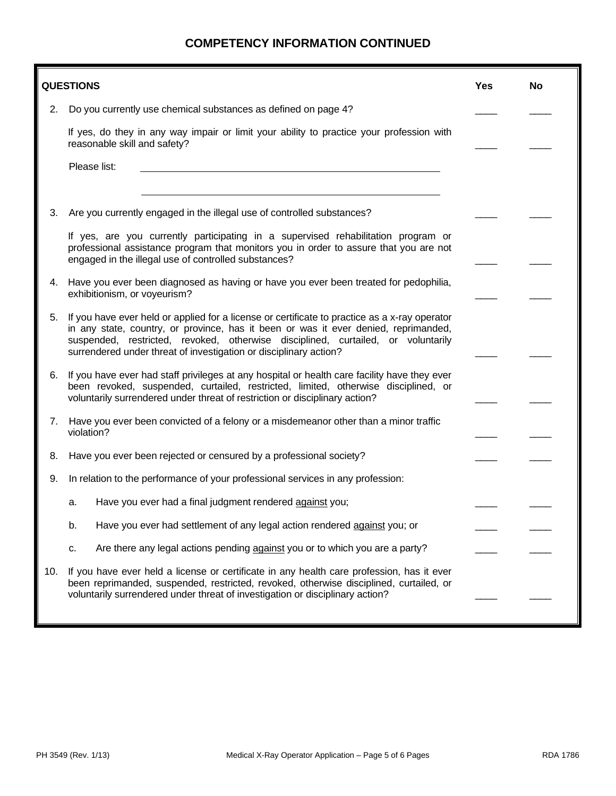# **COMPETENCY INFORMATION CONTINUED**

|     | <b>QUESTIONS</b>                                                                                                                                                                                                                                                                                                                              | Yes | No |  |
|-----|-----------------------------------------------------------------------------------------------------------------------------------------------------------------------------------------------------------------------------------------------------------------------------------------------------------------------------------------------|-----|----|--|
| 2.  | Do you currently use chemical substances as defined on page 4?                                                                                                                                                                                                                                                                                |     |    |  |
|     | If yes, do they in any way impair or limit your ability to practice your profession with<br>reasonable skill and safety?                                                                                                                                                                                                                      |     |    |  |
|     | Please list:                                                                                                                                                                                                                                                                                                                                  |     |    |  |
|     |                                                                                                                                                                                                                                                                                                                                               |     |    |  |
| З.  | Are you currently engaged in the illegal use of controlled substances?                                                                                                                                                                                                                                                                        |     |    |  |
|     | If yes, are you currently participating in a supervised rehabilitation program or<br>professional assistance program that monitors you in order to assure that you are not<br>engaged in the illegal use of controlled substances?                                                                                                            |     |    |  |
| 4.  | Have you ever been diagnosed as having or have you ever been treated for pedophilia,<br>exhibitionism, or voyeurism?                                                                                                                                                                                                                          |     |    |  |
| 5.  | If you have ever held or applied for a license or certificate to practice as a x-ray operator<br>in any state, country, or province, has it been or was it ever denied, reprimanded,<br>suspended, restricted, revoked, otherwise disciplined, curtailed, or voluntarily<br>surrendered under threat of investigation or disciplinary action? |     |    |  |
| 6.  | If you have ever had staff privileges at any hospital or health care facility have they ever<br>been revoked, suspended, curtailed, restricted, limited, otherwise disciplined, or<br>voluntarily surrendered under threat of restriction or disciplinary action?                                                                             |     |    |  |
| 7.  | Have you ever been convicted of a felony or a misdemeanor other than a minor traffic<br>violation?                                                                                                                                                                                                                                            |     |    |  |
| 8.  | Have you ever been rejected or censured by a professional society?                                                                                                                                                                                                                                                                            |     |    |  |
| 9.  | In relation to the performance of your professional services in any profession:                                                                                                                                                                                                                                                               |     |    |  |
|     | Have you ever had a final judgment rendered against you;<br>a.                                                                                                                                                                                                                                                                                |     |    |  |
|     | Have you ever had settlement of any legal action rendered against you; or<br>b.                                                                                                                                                                                                                                                               |     |    |  |
|     | Are there any legal actions pending against you or to which you are a party?<br>C.                                                                                                                                                                                                                                                            |     |    |  |
| 10. | If you have ever held a license or certificate in any health care profession, has it ever<br>been reprimanded, suspended, restricted, revoked, otherwise disciplined, curtailed, or<br>voluntarily surrendered under threat of investigation or disciplinary action?                                                                          |     |    |  |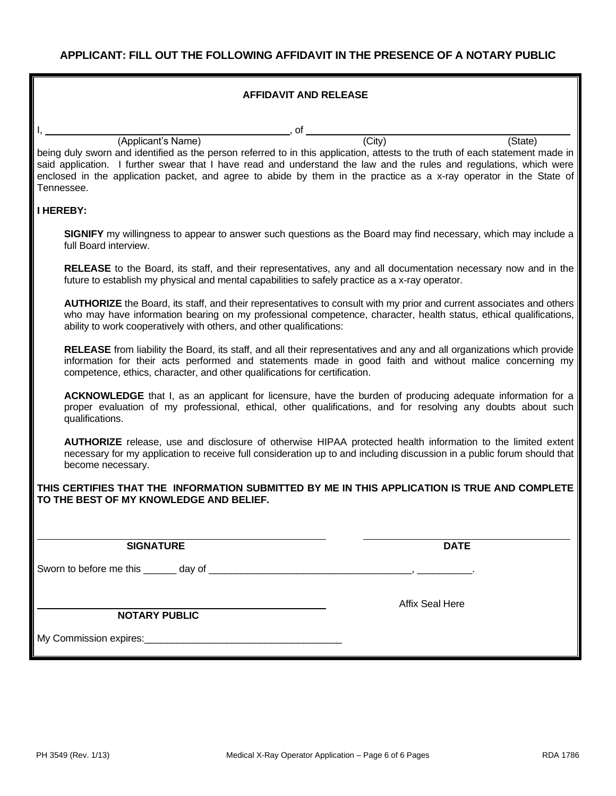#### **AFFIDAVIT AND RELEASE**

 $\overline{\phantom{a}}$ , of  $\overline{\phantom{a}}$ 

(Applicant's Name) (City) (City) (State) being duly sworn and identified as the person referred to in this application, attests to the truth of each statement made in said application. I further swear that I have read and understand the law and the rules and regulations, which were enclosed in the application packet, and agree to abide by them in the practice as a x-ray operator in the State of Tennessee.

### **I HEREBY:**

**SIGNIFY** my willingness to appear to answer such questions as the Board may find necessary, which may include a full Board interview.

**RELEASE** to the Board, its staff, and their representatives, any and all documentation necessary now and in the future to establish my physical and mental capabilities to safely practice as a x-ray operator.

**AUTHORIZE** the Board, its staff, and their representatives to consult with my prior and current associates and others who may have information bearing on my professional competence, character, health status, ethical qualifications, ability to work cooperatively with others, and other qualifications:

**RELEASE** from liability the Board, its staff, and all their representatives and any and all organizations which provide information for their acts performed and statements made in good faith and without malice concerning my competence, ethics, character, and other qualifications for certification.

**ACKNOWLEDGE** that I, as an applicant for licensure, have the burden of producing adequate information for a proper evaluation of my professional, ethical, other qualifications, and for resolving any doubts about such qualifications.

**AUTHORIZE** release, use and disclosure of otherwise HIPAA protected health information to the limited extent necessary for my application to receive full consideration up to and including discussion in a public forum should that become necessary.

#### **THIS CERTIFIES THAT THE INFORMATION SUBMITTED BY ME IN THIS APPLICATION IS TRUE AND COMPLETE TO THE BEST OF MY KNOWLEDGE AND BELIEF.**

#### **SIGNATURE DATE**

Affix Seal Here

Sworn to before me this \_\_\_\_\_\_ day of \_\_\_\_\_\_\_\_\_\_\_\_\_\_\_\_\_\_\_\_\_\_\_\_\_\_\_\_\_\_\_\_\_\_\_\_\_, \_\_\_\_\_\_\_\_\_\_.

**NOTARY PUBLIC**

My Commission expires:\_\_\_\_\_\_\_\_\_\_\_\_\_\_\_\_\_\_\_\_\_\_\_\_\_\_\_\_\_\_\_\_\_\_\_\_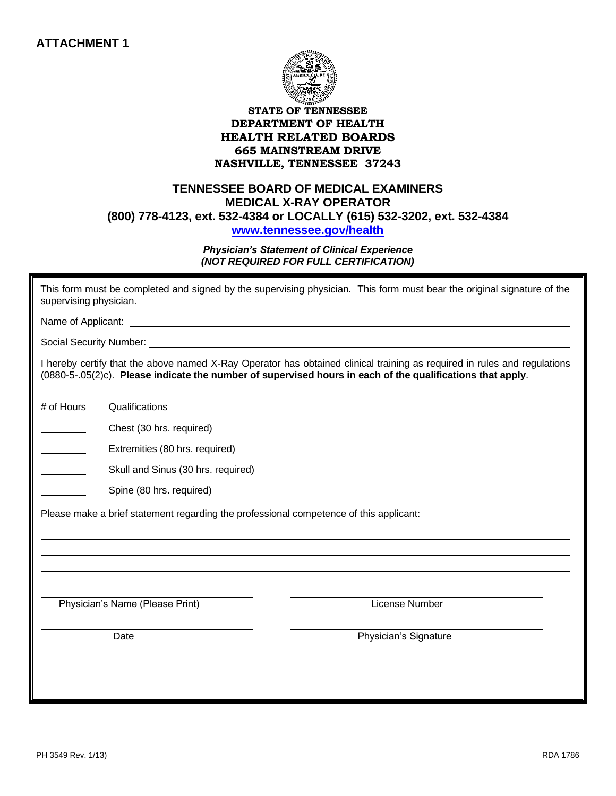

# **TENNESSEE BOARD OF MEDICAL EXAMINERS MEDICAL X-RAY OPERATOR (800) 778-4123, ext. 532-4384 or LOCALLY (615) 532-3202, ext. 532-4384 [www.tennessee.gov/health](http://www.tennessee.gov/health)**

### *Physician's Statement of Clinical Experience (NOT REQUIRED FOR FULL CERTIFICATION)*

| supervising physician. |                                                                                        | This form must be completed and signed by the supervising physician. This form must bear the original signature of the                                                                                                                 |
|------------------------|----------------------------------------------------------------------------------------|----------------------------------------------------------------------------------------------------------------------------------------------------------------------------------------------------------------------------------------|
|                        |                                                                                        |                                                                                                                                                                                                                                        |
|                        |                                                                                        |                                                                                                                                                                                                                                        |
|                        |                                                                                        | I hereby certify that the above named X-Ray Operator has obtained clinical training as required in rules and regulations<br>(0880-5-.05(2)c). Please indicate the number of supervised hours in each of the qualifications that apply. |
| # of Hours             | Qualifications                                                                         |                                                                                                                                                                                                                                        |
|                        | Chest (30 hrs. required)                                                               |                                                                                                                                                                                                                                        |
|                        | Extremities (80 hrs. required)                                                         |                                                                                                                                                                                                                                        |
|                        | Skull and Sinus (30 hrs. required)                                                     |                                                                                                                                                                                                                                        |
|                        | Spine (80 hrs. required)                                                               |                                                                                                                                                                                                                                        |
|                        | Please make a brief statement regarding the professional competence of this applicant: |                                                                                                                                                                                                                                        |
|                        | Physician's Name (Please Print)                                                        | License Number                                                                                                                                                                                                                         |
|                        | Date                                                                                   | Physician's Signature                                                                                                                                                                                                                  |
|                        |                                                                                        |                                                                                                                                                                                                                                        |
|                        |                                                                                        |                                                                                                                                                                                                                                        |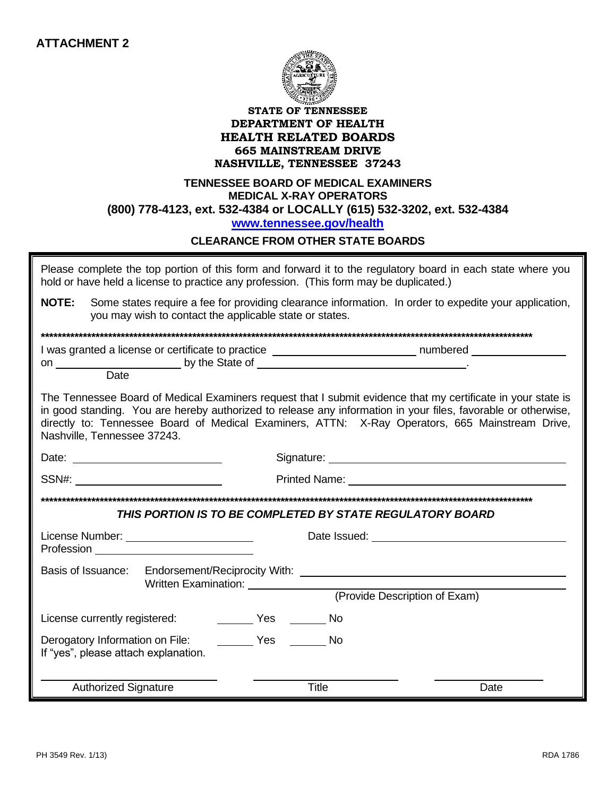

## **TENNESSEE BOARD OF MEDICAL EXAMINERS MEDICAL X-RAY OPERATORS (800) 778-4123, ext. 532-4384 or LOCALLY (615) 532-3202, ext. 532-4384 [www.tennessee.gov/health](http://www.tennessee.gov/health)**

# **CLEARANCE FROM OTHER STATE BOARDS**

| Please complete the top portion of this form and forward it to the regulatory board in each state where you<br>hold or have held a license to practice any profession. (This form may be duplicated.)                         |                                                         |              |                                                                                                                                                                                                                                                                                                                                  |  |  |  |
|-------------------------------------------------------------------------------------------------------------------------------------------------------------------------------------------------------------------------------|---------------------------------------------------------|--------------|----------------------------------------------------------------------------------------------------------------------------------------------------------------------------------------------------------------------------------------------------------------------------------------------------------------------------------|--|--|--|
| NOTE:                                                                                                                                                                                                                         | you may wish to contact the applicable state or states. |              | Some states require a fee for providing clearance information. In order to expedite your application,                                                                                                                                                                                                                            |  |  |  |
|                                                                                                                                                                                                                               |                                                         |              |                                                                                                                                                                                                                                                                                                                                  |  |  |  |
| Date                                                                                                                                                                                                                          |                                                         |              | I was granted a license or certificate to practice ______________________________ numbered __________________                                                                                                                                                                                                                    |  |  |  |
| Nashville, Tennessee 37243.                                                                                                                                                                                                   |                                                         |              | The Tennessee Board of Medical Examiners request that I submit evidence that my certificate in your state is<br>in good standing. You are hereby authorized to release any information in your files, favorable or otherwise,<br>directly to: Tennessee Board of Medical Examiners, ATTN: X-Ray Operators, 665 Mainstream Drive, |  |  |  |
|                                                                                                                                                                                                                               |                                                         |              |                                                                                                                                                                                                                                                                                                                                  |  |  |  |
| SSN#: Website the contract of the contract of the contract of the contract of the contract of the contract of the contract of the contract of the contract of the contract of the contract of the contract of the contract of |                                                         |              | <b>Printed Name:</b> Printed Name:                                                                                                                                                                                                                                                                                               |  |  |  |
| THIS PORTION IS TO BE COMPLETED BY STATE REGULATORY BOARD                                                                                                                                                                     |                                                         |              |                                                                                                                                                                                                                                                                                                                                  |  |  |  |
|                                                                                                                                                                                                                               |                                                         |              |                                                                                                                                                                                                                                                                                                                                  |  |  |  |
| License Number: ___________________________                                                                                                                                                                                   |                                                         |              | Date Issued: The Contract of the Contract of the Contract of the Contract of the Contract of the Contract of the Contract of the Contract of the Contract of the Contract of the Contract of the Contract of the Contract of t                                                                                                   |  |  |  |
| Basis of Issuance: Endorsement/Reciprocity With: _______________________________                                                                                                                                              | Written Examination: _______________                    |              |                                                                                                                                                                                                                                                                                                                                  |  |  |  |
| (Provide Description of Exam)                                                                                                                                                                                                 |                                                         |              |                                                                                                                                                                                                                                                                                                                                  |  |  |  |
| License currently registered:                                                                                                                                                                                                 | No Ves No                                               |              |                                                                                                                                                                                                                                                                                                                                  |  |  |  |
| Derogatory Information on File:<br>If "yes", please attach explanation.                                                                                                                                                       | No Nestanglian No. 2014                                 |              |                                                                                                                                                                                                                                                                                                                                  |  |  |  |
| <b>Authorized Signature</b>                                                                                                                                                                                                   |                                                         | <b>Title</b> | Date                                                                                                                                                                                                                                                                                                                             |  |  |  |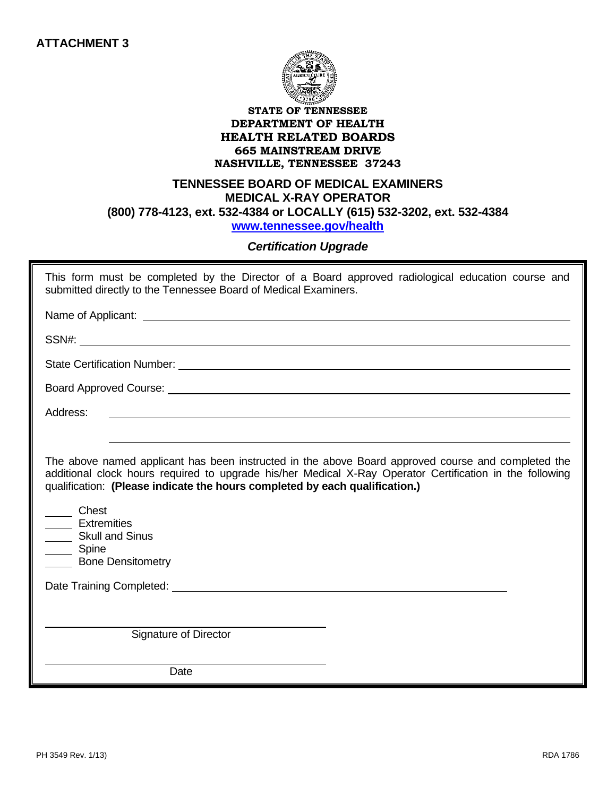![](_page_10_Picture_1.jpeg)

# **TENNESSEE BOARD OF MEDICAL EXAMINERS MEDICAL X-RAY OPERATOR (800) 778-4123, ext. 532-4384 or LOCALLY (615) 532-3202, ext. 532-4384 [www.tennessee.gov/health](http://www.tennessee.gov/health)**

# *Certification Upgrade*

This form must be completed by the Director of a Board approved radiological education course and submitted directly to the Tennessee Board of Medical Examiners.

Name of Applicant:

SSN#:

State Certification Number: University of the Certification Number:

Board Approved Course:

Address:

The above named applicant has been instructed in the above Board approved course and completed the additional clock hours required to upgrade his/her Medical X-Ray Operator Certification in the following qualification: **(Please indicate the hours completed by each qualification.)**

 Chest **Extremities** 

Skull and Sinus

Spine

Bone Densitometry

Date Training Completed: **Date Training Completed:** 

Signature of Director

Date